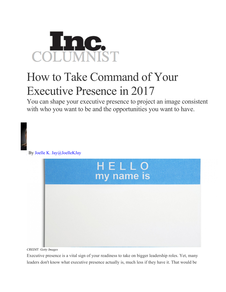## COLUMNIST

## How to Take Command of Your Executive Presence in 2017

You can shape your executive presence to project an image consistent with who you want to be and the opportunities you want to have.



By Joelle K. Jay@JoelleKJay



*CREDIT: Getty Images*

Executive presence is a vital sign of your readiness to take on bigger leadership roles. Yet, many leaders don't know what executive presence actually is, much less if they have it. That would be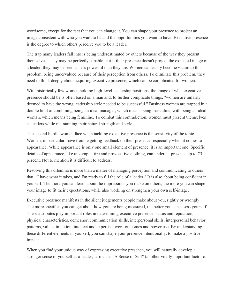worrisome, except for the fact that you can change it. You can shape your presence to project an image consistent with who you want to be and the opportunities you want to have. Executive presence is the degree to which others perceive you to be a leader.

The trap many leaders fall into is being underestimated by others because of the way they present themselves. They may be perfectly capable, but if their presence doesn't project the expected image of a leader, they may be seen as less powerful than they are. Women can easily become victim to this problem, being undervalued because of their perception from others. To eliminate this problem, they need to think deeply about acquiring executive presence, which can be complicated for women.

With historically few women holding high-level leadership positions, the image of what executive presence should be is often based on a man and, to further complicate things, "women are unfairly deemed to have the wrong leadership style needed to be successful." Business women are trapped in a double bind of combining being an ideal manager, which means being masculine, with being an ideal woman, which means being feminine. To combat this contradiction, women must present themselves as leaders while maintaining their natural strength and style.

The second hurdle women face when tackling executive presence is the sensitivity of the topic. Women, in particular, have trouble getting feedback on their presence- especially when it comes to appearance. While appearance is only one small element of presence, it is an important one. Specific details of appearance, like unkempt attire and provocative clothing, can undercut presence up to 75 percent. Not to mention it is difficult to address.

Resolving this dilemma is more than a matter of managing perception and communicating to others that, "I have what it takes, and I'm ready to fill the role of a leader." It is also about being confident in yourself. The more you can learn about the impressions you make on others, the more you can shape your image to fit their expectations, while also working on strengthen your own self-image.

Executive presence manifests in the silent judgements people make about you, rightly or wrongly. The more specifics you can get about how you are being measured, the better you can assess yourself. These attributes play important roles in determining executive presence: status and reputation, physical characteristics, demeanor, communication skills, interpersonal skills, interpersonal behavior patterns, values-in-action, intellect and expertise, work outcomes and power use. By understanding these different elements in yourself, you can shape your presence intentionally, to make a positive impact.

When you find your unique way of expressing executive presence, you will naturally develop a stronger sense of yourself as a leader, termed as "A Sense of Self" (another vitally important factor of